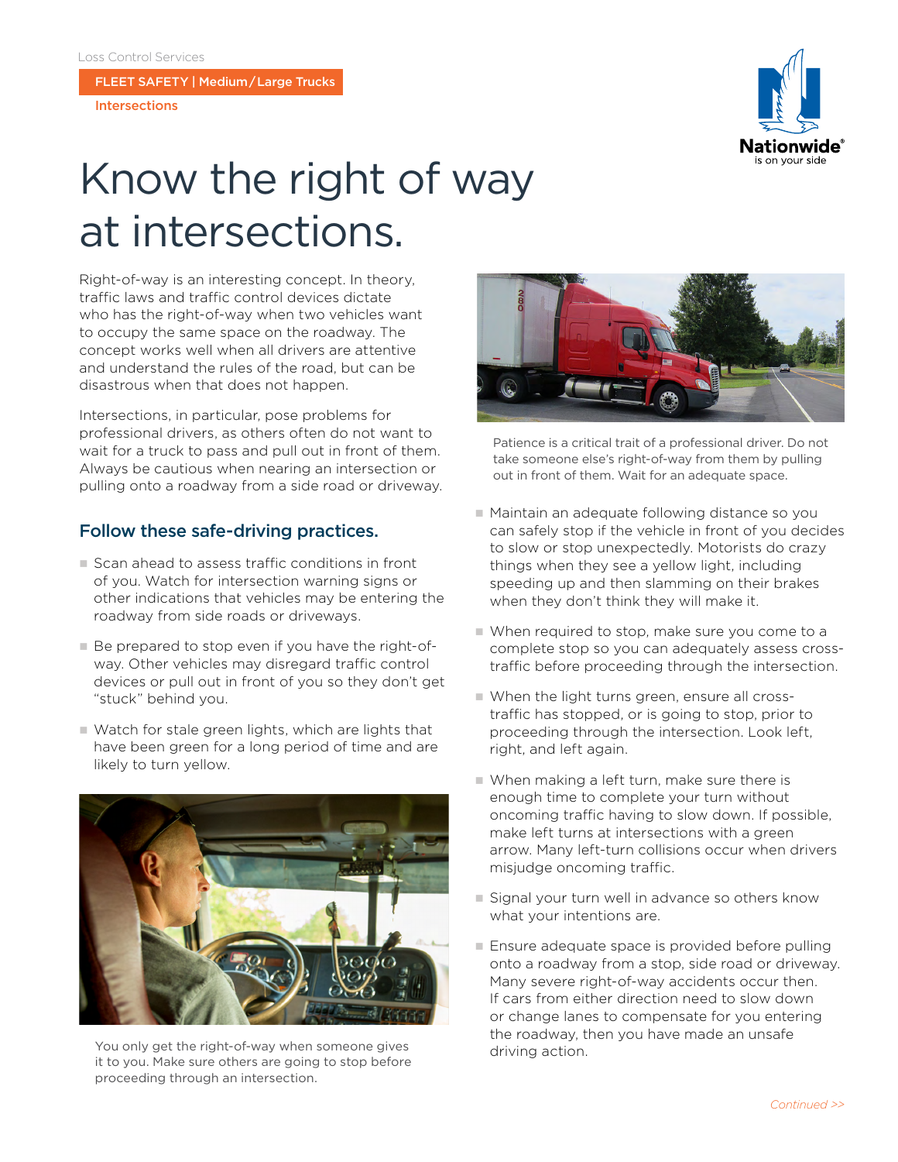FLEET SAFETY | Medium/Large Trucks

Intersections



## Know the right of way at intersections.

Right-of-way is an interesting concept. In theory, traffic laws and traffic control devices dictate who has the right-of-way when two vehicles want to occupy the same space on the roadway. The concept works well when all drivers are attentive and understand the rules of the road, but can be disastrous when that does not happen.

Intersections, in particular, pose problems for professional drivers, as others often do not want to wait for a truck to pass and pull out in front of them. Always be cautious when nearing an intersection or pulling onto a roadway from a side road or driveway.

## Follow these safe-driving practices.

- Scan ahead to assess traffic conditions in front of you. Watch for intersection warning signs or other indications that vehicles may be entering the roadway from side roads or driveways.
- Be prepared to stop even if you have the right-ofway. Other vehicles may disregard traffic control devices or pull out in front of you so they don't get "stuck" behind you.
- $\blacksquare$  Watch for stale green lights, which are lights that have been green for a long period of time and are likely to turn yellow.



You only get the right-of-way when someone gives driving action. it to you. Make sure others are going to stop before proceeding through an intersection.



Patience is a critical trait of a professional driver. Do not take someone else's right-of-way from them by pulling out in front of them. Wait for an adequate space.

- Maintain an adequate following distance so you can safely stop if the vehicle in front of you decides to slow or stop unexpectedly. Motorists do crazy things when they see a yellow light, including speeding up and then slamming on their brakes when they don't think they will make it.
- $\blacksquare$  When required to stop, make sure you come to a complete stop so you can adequately assess crosstraffic before proceeding through the intersection.
- When the light turns green, ensure all crosstraffic has stopped, or is going to stop, prior to proceeding through the intersection. Look left, right, and left again.
- $\blacksquare$  When making a left turn, make sure there is enough time to complete your turn without oncoming traffic having to slow down. If possible, make left turns at intersections with a green arrow. Many left-turn collisions occur when drivers misjudge oncoming traffic.
- Signal your turn well in advance so others know what your intentions are.
- $\blacksquare$  Ensure adequate space is provided before pulling onto a roadway from a stop, side road or driveway. Many severe right-of-way accidents occur then. If cars from either direction need to slow down or change lanes to compensate for you entering the roadway, then you have made an unsafe